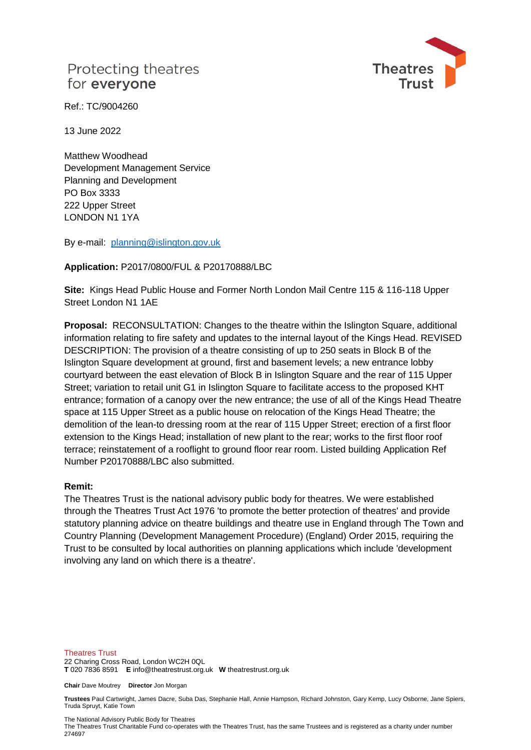

Ref.: TC/9004260

13 June 2022

Matthew Woodhead Development Management Service Planning and Development PO Box 3333 222 Upper Street LONDON N1 1YA

By e-mail: [planning@islington.gov.uk](mailto:planning@islington.gov.uk)

### **Application:** P2017/0800/FUL & P20170888/LBC

**Site:** Kings Head Public House and Former North London Mail Centre 115 & 116-118 Upper Street London N1 1AE

**Proposal:** RECONSULTATION: Changes to the theatre within the Islington Square, additional information relating to fire safety and updates to the internal layout of the Kings Head. REVISED DESCRIPTION: The provision of a theatre consisting of up to 250 seats in Block B of the Islington Square development at ground, first and basement levels; a new entrance lobby courtyard between the east elevation of Block B in Islington Square and the rear of 115 Upper Street; variation to retail unit G1 in Islington Square to facilitate access to the proposed KHT entrance; formation of a canopy over the new entrance; the use of all of the Kings Head Theatre space at 115 Upper Street as a public house on relocation of the Kings Head Theatre; the demolition of the lean-to dressing room at the rear of 115 Upper Street; erection of a first floor extension to the Kings Head; installation of new plant to the rear; works to the first floor roof terrace; reinstatement of a rooflight to ground floor rear room. Listed building Application Ref Number P20170888/LBC also submitted.

### **Remit:**

The Theatres Trust is the national advisory public body for theatres. We were established through the Theatres Trust Act 1976 'to promote the better protection of theatres' and provide statutory planning advice on theatre buildings and theatre use in England through The Town and Country Planning (Development Management Procedure) (England) Order 2015, requiring the Trust to be consulted by local authorities on planning applications which include 'development involving any land on which there is a theatre'.

Theatres Trust 22 Charing Cross Road, London WC2H 0QL **T** 020 7836 8591 **E** info@theatrestrust.org.uk **W** theatrestrust.org.uk

**Chair** Dave Moutrey **Director** Jon Morgan

**Trustees** Paul Cartwright, James Dacre, Suba Das, Stephanie Hall, Annie Hampson, Richard Johnston, Gary Kemp, Lucy Osborne, Jane Spiers, Truda Spruyt, Katie Town

The National Advisory Public Body for Theatres

The Theatres Trust Charitable Fund co-operates with the Theatres Trust, has the same Trustees and is registered as a charity under number 274697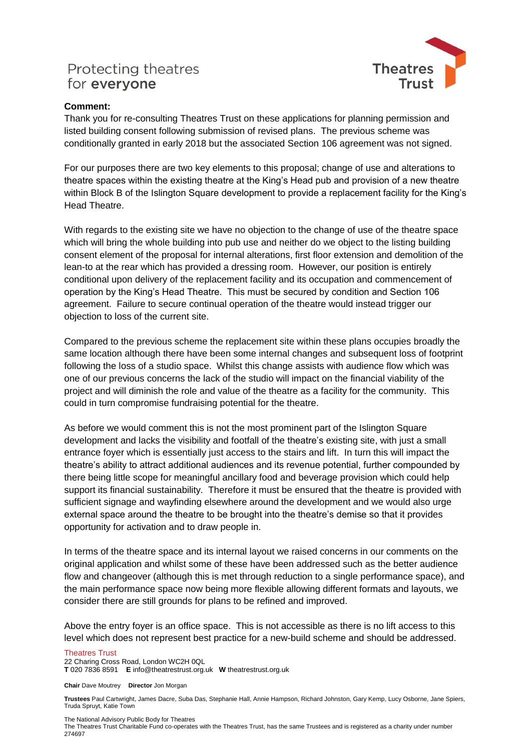

### **Comment:**

Thank you for re-consulting Theatres Trust on these applications for planning permission and listed building consent following submission of revised plans. The previous scheme was conditionally granted in early 2018 but the associated Section 106 agreement was not signed.

For our purposes there are two key elements to this proposal; change of use and alterations to theatre spaces within the existing theatre at the King's Head pub and provision of a new theatre within Block B of the Islington Square development to provide a replacement facility for the King's Head Theatre.

With regards to the existing site we have no objection to the change of use of the theatre space which will bring the whole building into pub use and neither do we object to the listing building consent element of the proposal for internal alterations, first floor extension and demolition of the lean-to at the rear which has provided a dressing room. However, our position is entirely conditional upon delivery of the replacement facility and its occupation and commencement of operation by the King's Head Theatre. This must be secured by condition and Section 106 agreement. Failure to secure continual operation of the theatre would instead trigger our objection to loss of the current site.

Compared to the previous scheme the replacement site within these plans occupies broadly the same location although there have been some internal changes and subsequent loss of footprint following the loss of a studio space. Whilst this change assists with audience flow which was one of our previous concerns the lack of the studio will impact on the financial viability of the project and will diminish the role and value of the theatre as a facility for the community. This could in turn compromise fundraising potential for the theatre.

As before we would comment this is not the most prominent part of the Islington Square development and lacks the visibility and footfall of the theatre's existing site, with just a small entrance foyer which is essentially just access to the stairs and lift. In turn this will impact the theatre's ability to attract additional audiences and its revenue potential, further compounded by there being little scope for meaningful ancillary food and beverage provision which could help support its financial sustainability. Therefore it must be ensured that the theatre is provided with sufficient signage and wayfinding elsewhere around the development and we would also urge external space around the theatre to be brought into the theatre's demise so that it provides opportunity for activation and to draw people in.

In terms of the theatre space and its internal layout we raised concerns in our comments on the original application and whilst some of these have been addressed such as the better audience flow and changeover (although this is met through reduction to a single performance space), and the main performance space now being more flexible allowing different formats and layouts, we consider there are still grounds for plans to be refined and improved.

Above the entry foyer is an office space. This is not accessible as there is no lift access to this level which does not represent best practice for a new-build scheme and should be addressed.

### Theatres Trust

22 Charing Cross Road, London WC2H 0QL

**T** 020 7836 8591 **E** info@theatrestrust.org.uk **W** theatrestrust.org.uk

**Chair** Dave Moutrey **Director** Jon Morgan

**Trustees** Paul Cartwright, James Dacre, Suba Das, Stephanie Hall, Annie Hampson, Richard Johnston, Gary Kemp, Lucy Osborne, Jane Spiers, Truda Spruyt, Katie Town

The National Advisory Public Body for Theatres

The Theatres Trust Charitable Fund co-operates with the Theatres Trust, has the same Trustees and is registered as a charity under number 274697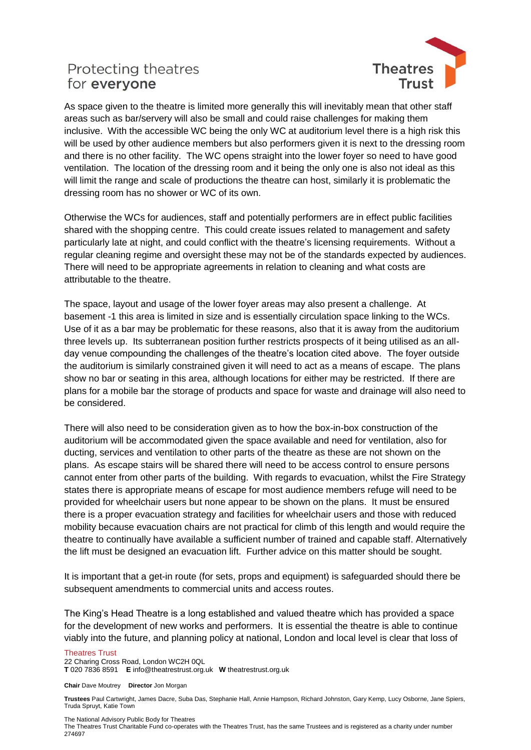

As space given to the theatre is limited more generally this will inevitably mean that other staff areas such as bar/servery will also be small and could raise challenges for making them inclusive. With the accessible WC being the only WC at auditorium level there is a high risk this will be used by other audience members but also performers given it is next to the dressing room and there is no other facility. The WC opens straight into the lower foyer so need to have good ventilation. The location of the dressing room and it being the only one is also not ideal as this will limit the range and scale of productions the theatre can host, similarly it is problematic the dressing room has no shower or WC of its own.

Otherwise the WCs for audiences, staff and potentially performers are in effect public facilities shared with the shopping centre. This could create issues related to management and safety particularly late at night, and could conflict with the theatre's licensing requirements. Without a regular cleaning regime and oversight these may not be of the standards expected by audiences. There will need to be appropriate agreements in relation to cleaning and what costs are attributable to the theatre.

The space, layout and usage of the lower foyer areas may also present a challenge. At basement -1 this area is limited in size and is essentially circulation space linking to the WCs. Use of it as a bar may be problematic for these reasons, also that it is away from the auditorium three levels up. Its subterranean position further restricts prospects of it being utilised as an allday venue compounding the challenges of the theatre's location cited above. The foyer outside the auditorium is similarly constrained given it will need to act as a means of escape. The plans show no bar or seating in this area, although locations for either may be restricted. If there are plans for a mobile bar the storage of products and space for waste and drainage will also need to be considered.

There will also need to be consideration given as to how the box-in-box construction of the auditorium will be accommodated given the space available and need for ventilation, also for ducting, services and ventilation to other parts of the theatre as these are not shown on the plans. As escape stairs will be shared there will need to be access control to ensure persons cannot enter from other parts of the building. With regards to evacuation, whilst the Fire Strategy states there is appropriate means of escape for most audience members refuge will need to be provided for wheelchair users but none appear to be shown on the plans. It must be ensured there is a proper evacuation strategy and facilities for wheelchair users and those with reduced mobility because evacuation chairs are not practical for climb of this length and would require the theatre to continually have available a sufficient number of trained and capable staff. Alternatively the lift must be designed an evacuation lift. Further advice on this matter should be sought.

It is important that a get-in route (for sets, props and equipment) is safeguarded should there be subsequent amendments to commercial units and access routes.

The King's Head Theatre is a long established and valued theatre which has provided a space for the development of new works and performers. It is essential the theatre is able to continue viably into the future, and planning policy at national, London and local level is clear that loss of

#### Theatres Trust

22 Charing Cross Road, London WC2H 0QL

**T** 020 7836 8591 **E** info@theatrestrust.org.uk **W** theatrestrust.org.uk

**Chair** Dave Moutrey **Director** Jon Morgan

**Trustees** Paul Cartwright, James Dacre, Suba Das, Stephanie Hall, Annie Hampson, Richard Johnston, Gary Kemp, Lucy Osborne, Jane Spiers, Truda Spruyt, Katie Town

The National Advisory Public Body for Theatres

The Theatres Trust Charitable Fund co-operates with the Theatres Trust, has the same Trustees and is registered as a charity under number 274697